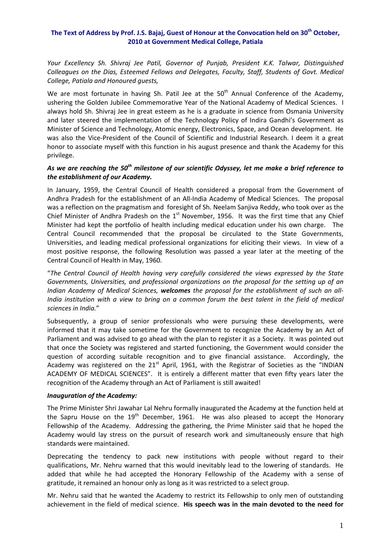## The Text of Address by Prof. J.S. Bajaj, Guest of Honour at the Convocation held on 30<sup>th</sup> October, **2010 at Government Medical College, Patiala**

*Your Excellency Sh. Shivraj Jee Patil, Governor of Punjab, President K.K. Talwar, Distinguished Colleagues on the Dias, Esteemed Fellows and Delegates, Faculty, Staff, Students of Govt. Medical College, Patiala and Honoured guests,* 

We are most fortunate in having Sh. Patil Jee at the  $50<sup>th</sup>$  Annual Conference of the Academy, ushering the Golden Jubilee Commemorative Year of the National Academy of Medical Sciences. I always hold Sh. Shivraj Jee in great esteem as he is a graduate in science from Osmania University and later steered the implementation of the Technology Policy of Indira Gandhi's Government as Minister of Science and Technology, Atomic energy, Electronics, Space, and Ocean development. He was also the Vice-President of the Council of Scientific and Industrial Research. I deem it a great honor to associate myself with this function in his august presence and thank the Academy for this privilege.

# *As we are reaching the 50th milestone of our scientific Odyssey, let me make a brief reference to the establishment of our Academy.*

In January, 1959, the Central Council of Health considered a proposal from the Government of Andhra Pradesh for the establishment of an All‐India Academy of Medical Sciences. The proposal was a reflection on the pragmatism and foresight of Sh. Neelam Sanjiva Reddy, who took over as the Chief Minister of Andhra Pradesh on the  $1<sup>st</sup>$  November, 1956. It was the first time that any Chief Minister had kept the portfolio of health including medical education under his own charge. The Central Council recommended that the proposal be circulated to the State Governments, Universities, and leading medical professional organizations for eliciting their views. In view of a most positive response, the following Resolution was passed a year later at the meeting of the Central Council of Health in May, 1960.

"*The Central Council of Health having very carefully considered the views expressed by the State Governments, Universities, and professional organizations on the proposal for the setting up of an Indian Academy of Medical Sciences, welcomes the proposal for the establishment of such an all‐* India institution with a view to bring on a common forum the best talent in the field of medical *sciences in India.*"

Subsequently, a group of senior professionals who were pursuing these developments, were informed that it may take sometime for the Government to recognize the Academy by an Act of Parliament and was advised to go ahead with the plan to register it as a Society. It was pointed out that once the Society was registered and started functioning, the Government would consider the question of according suitable recognition and to give financial assistance. Accordingly, the Academy was registered on the  $21<sup>st</sup>$  April, 1961, with the Registrar of Societies as the "INDIAN ACADEMY OF MEDICAL SCIENCES". It is entirely a different matter that even fifty years later the recognition of the Academy through an Act of Parliament is still awaited!

#### *Inauguration of the Academy:*

The Prime Minister Shri Jawahar Lal Nehru formally inaugurated the Academy at the function held at the Sapru House on the  $19<sup>th</sup>$  December, 1961. He was also pleased to accept the Honorary Fellowship of the Academy. Addressing the gathering, the Prime Minister said that he hoped the Academy would lay stress on the pursuit of research work and simultaneously ensure that high standards were maintained.

Deprecating the tendency to pack new institutions with people without regard to their qualifications, Mr. Nehru warned that this would inevitably lead to the lowering of standards. He added that while he had accepted the Honorary Fellowship of the Academy with a sense of gratitude, it remained an honour only as long as it was restricted to a select group.

Mr. Nehru said that he wanted the Academy to restrict its Fellowship to only men of outstanding achievement in the field of medical science. **His speech was in the main devoted to the need for**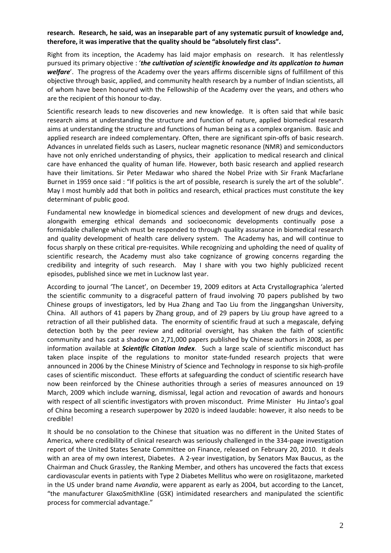## **research. Research, he said, was an inseparable part of any systematic pursuit of knowledge and, therefore, it was imperative that the quality should be "absolutely first class".**

Right from its inception, the Academy has laid major emphasis on research. It has relentlessly pursued its primary objective : '*the cultivation of scientific knowledge and its application to human welfare*'. The progress of the Academy over the years affirms discernible signs of fulfillment of this objective through basic, applied, and community health research by a number of Indian scientists, all of whom have been honoured with the Fellowship of the Academy over the years, and others who are the recipient of this honour to‐day.

Scientific research leads to new discoveries and new knowledge. It is often said that while basic research aims at understanding the structure and function of nature, applied biomedical research aims at understanding the structure and functions of human being as a complex organism. Basic and applied research are indeed complementary. Often, there are significant spin‐offs of basic research. Advances in unrelated fields such as Lasers, nuclear magnetic resonance (NMR) and semiconductors have not only enriched understanding of physics, their application to medical research and clinical care have enhanced the quality of human life. However, both basic research and applied research have their limitations. Sir Peter Medawar who shared the Nobel Prize with Sir Frank Macfarlane Burnet in 1959 once said : "If politics is the art of possible, research is surely the art of the soluble". May I most humbly add that both in politics and research, ethical practices must constitute the key determinant of public good.

Fundamental new knowledge in biomedical sciences and development of new drugs and devices, alongwith emerging ethical demands and socioeconomic developments continually pose a formidable challenge which must be responded to through quality assurance in biomedical research and quality development of health care delivery system. The Academy has, and will continue to focus sharply on these critical pre‐requisites. While recognizing and upholding the need of quality of scientific research, the Academy must also take cognizance of growing concerns regarding the credibility and integrity of such research. May I share with you two highly publicized recent episodes, published since we met in Lucknow last year.

According to journal 'The Lancet', on December 19, 2009 editors at Acta Crystallographica 'alerted the scientific community to a disgraceful pattern of fraud involving 70 papers published by two Chinese groups of investigators, led by Hua Zhang and Tao Liu from the Jinggangshan University, China. All authors of 41 papers by Zhang group, and of 29 papers by Liu group have agreed to a retraction of all their published data. The enormity of scientific fraud at such a megascale, defying detection both by the peer review and editorial oversight, has shaken the faith of scientific community and has cast a shadow on 2,71,000 papers published by Chinese authors in 2008, as per information available at *Scientific Citation Index*. Such a large scale of scientific misconduct has taken place inspite of the regulations to monitor state‐funded research projects that were announced in 2006 by the Chinese Ministry of Science and Technology in response to six high‐profile cases of scientific misconduct. These efforts at safeguarding the conduct of scientific research have now been reinforced by the Chinese authorities through a series of measures announced on 19 March, 2009 which include warning, dismissal, legal action and revocation of awards and honours with respect of all scientific investigators with proven misconduct. Prime Minister Hu Jintao's goal of China becoming a research superpower by 2020 is indeed laudable: however, it also needs to be credible!

It should be no consolation to the Chinese that situation was no different in the United States of America, where credibility of clinical research was seriously challenged in the 334‐page investigation report of the United States Senate Committee on Finance, released on February 20, 2010. It deals with an area of my own interest, Diabetes. A 2-year investigation, by Senators Max Baucus, as the Chairman and Chuck Grassley, the Ranking Member, and others has uncovered the facts that excess cardiovascular events in patients with Type 2 Diabetes Mellitus who were on rosiglitazone, marketed in the US under brand name *Avandia*, were apparent as early as 2004, but according to the Lancet, "the manufacturer GlaxoSmithKline (GSK) intimidated researchers and manipulated the scientific process for commercial advantage."